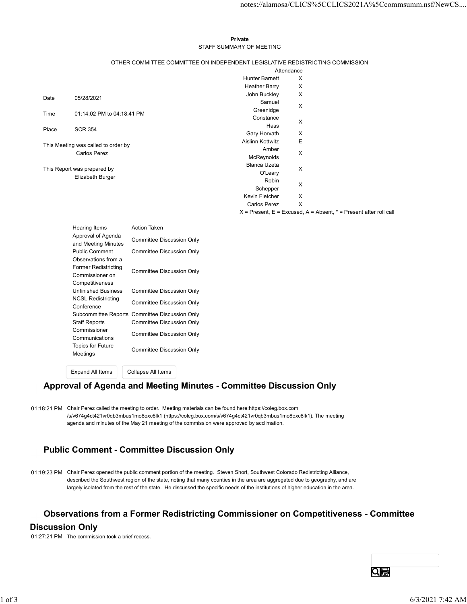#### Private **Private** and *Private* and *Private* and *Private* and *Private* and *Private* and *Private* and *Private* and *Private* and *Private* and *Private* and *Private* and *Private* and *Private* and *Private* and *Pri* STAFF SUMMARY OF MEETING

|  | OTHER COMMITTEE COMMITTEE ON INDEPENDENT LEGISLATIVE REDISTRICTING COMMISSION |
|--|-------------------------------------------------------------------------------|
|  |                                                                               |

|       |                                              |                                                                               |                            |   | notes://alamosa/CLICS%5CCLICS2021A%5Ccommsumm.nsf/NewCS                   |
|-------|----------------------------------------------|-------------------------------------------------------------------------------|----------------------------|---|---------------------------------------------------------------------------|
|       |                                              |                                                                               |                            |   |                                                                           |
|       |                                              |                                                                               |                            |   |                                                                           |
|       |                                              |                                                                               | Private                    |   |                                                                           |
|       |                                              |                                                                               | STAFF SUMMARY OF MEETING   |   |                                                                           |
|       |                                              | OTHER COMMITTEE COMMITTEE ON INDEPENDENT LEGISLATIVE REDISTRICTING COMMISSION | Attendance                 |   |                                                                           |
|       |                                              |                                                                               | <b>Hunter Barnett</b>      | X |                                                                           |
|       |                                              |                                                                               | <b>Heather Barry</b>       | X |                                                                           |
| Date  | 05/28/2021                                   |                                                                               | John Buckley<br>Samuel     | X |                                                                           |
| Time  | 01:14:02 PM to 04:18:41 PM                   |                                                                               | Greenidge                  | X |                                                                           |
|       |                                              |                                                                               | Constance                  | X |                                                                           |
| Place | <b>SCR 354</b>                               |                                                                               | Hass<br>Gary Horvath       | X |                                                                           |
|       | This Meeting was called to order by          |                                                                               | Aislinn Kottwitz           | E |                                                                           |
|       | <b>Carlos Perez</b>                          |                                                                               | Amber                      | X |                                                                           |
|       |                                              |                                                                               | McReynolds<br>Blanca Uzeta |   |                                                                           |
|       | This Report was prepared by                  |                                                                               | O'Leary                    | X |                                                                           |
|       | Elizabeth Burger                             |                                                                               | Robin                      | Χ |                                                                           |
|       |                                              |                                                                               | Schepper<br>Kevin Fletcher | X |                                                                           |
|       |                                              |                                                                               | <b>Carlos Perez</b>        | X |                                                                           |
|       |                                              |                                                                               |                            |   | $X =$ Present, $E =$ Excused, $A =$ Absent, $* =$ Present after roll call |
|       | Hearing Items                                | Action Taken                                                                  |                            |   |                                                                           |
|       | Approval of Agenda                           | <b>Committee Discussion Only</b>                                              |                            |   |                                                                           |
|       | and Meeting Minutes<br><b>Public Comment</b> |                                                                               |                            |   |                                                                           |
|       | Observations from a                          | Committee Discussion Only                                                     |                            |   |                                                                           |
|       | Former Redistricting                         | <b>Committee Discussion Only</b>                                              |                            |   |                                                                           |
|       | Commissioner on<br>Competitiveness           |                                                                               |                            |   |                                                                           |
|       | <b>Unfinished Business</b>                   | <b>Committee Discussion Only</b>                                              |                            |   |                                                                           |
|       | <b>NCSL Redistricting</b>                    | <b>Committee Discussion Only</b>                                              |                            |   |                                                                           |
|       | Conference                                   | Subcommittee Reports Committee Discussion Only                                |                            |   |                                                                           |
|       | <b>Staff Reports</b>                         | <b>Committee Discussion Only</b>                                              |                            |   |                                                                           |
|       | Commissioner                                 | <b>Committee Discussion Only</b>                                              |                            |   |                                                                           |
|       | Communications<br>Topics for Future          |                                                                               |                            |   |                                                                           |
|       | Meetings                                     | <b>Committee Discussion Only</b>                                              |                            |   |                                                                           |
|       |                                              |                                                                               |                            |   |                                                                           |
|       |                                              |                                                                               |                            |   |                                                                           |

| Hearing Items                                                                            | Action Taken                                   |  |
|------------------------------------------------------------------------------------------|------------------------------------------------|--|
| Approval of Agenda<br>and Meeting Minutes                                                | Committee Discussion Only                      |  |
| <b>Public Comment</b>                                                                    | Committee Discussion Only                      |  |
| Observations from a<br><b>Former Redistricting</b><br>Commissioner on<br>Competitiveness | Committee Discussion Only                      |  |
| <b>Unfinished Business</b>                                                               | Committee Discussion Only                      |  |
| <b>NCSL Redistricting</b><br>Conference                                                  | Committee Discussion Only                      |  |
|                                                                                          | Subcommittee Reports Committee Discussion Only |  |
| Staff Reports                                                                            | Committee Discussion Only                      |  |
| Commissioner<br>Communications                                                           | Committee Discussion Only                      |  |
| Topics for Future<br>Meetings                                                            | Committee Discussion Only                      |  |
|                                                                                          |                                                |  |

Expand All Items Collapse All Items

#### Approval of Agenda and Meeting Minutes - Committee Discussion Only

01:18:21 PM Chair Perez called the meeting to order. Meeting materials can be found here:https://coleg.box.com /s/v674g4ct421vr0qb3mbus1mo8oxc8lk1 (https://coleg.box.com/s/v674g4ct421vr0qb3mbus1mo8oxc8lk1). The meeting agenda and minutes of the May 21 meeting of the commission were approved by acclimation.

# Public Comment - Committee Discussion Only

01:19:23 PM Chair Perez opened the public comment portion of the meeting. Steven Short, Southwest Colorado Redistricting Alliance, described the Southwest region of the state, noting that many counties in the area are aggregated due to geography, and are largely isolated from the rest of the state. He discussed the specific needs of the institutions of higher education in the area. 0.118.21 PM Chair Perez called the meeting to order. Mosting materials can be found have https://colog.box.com<br>
secretize/state/structure/state-microscotten (mpachine) encode. The meeting agreed of the state of the state o

#### Observations from a Former Redistricting Commissioner on Competitiveness - Committee

#### Discussion Only

01:27:21 PM The commission took a brief recess.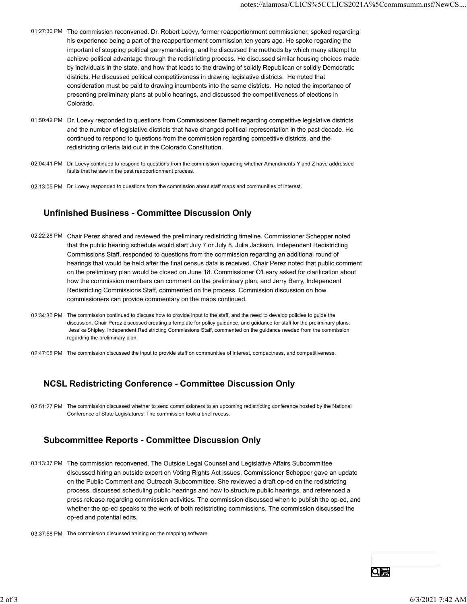- 01:27:30 PM The commission reconvened. Dr. Robert Loevy, former reapportionment commissioner, spoked regarding his experience being a part of the reapportionment commission ten years ago. He spoke regarding the important of stopping political gerrymandering, and he discussed the methods by which many attempt to achieve political advantage through the redistricting process. He discussed similar housing choices made by individuals in the state, and how that leads to the drawing of solidly Republican or solidly Democratic districts. He discussed political competitiveness in drawing legislative districts. He noted that consideration must be paid to drawing incumbents into the same districts. He noted the importance of presenting preliminary plans at public hearings, and discussed the competitiveness of elections in Colorado.
- 01:50:42 PM Dr. Loevy responded to questions from Commissioner Barnett regarding competitive legislative districts and the number of legislative districts that have changed political representation in the past decade. He continued to respond to questions from the commission regarding competitive districts, and the redistricting criteria laid out in the Colorado Constitution.
- 02:04:41 PM Dr. Loevy continued to respond to questions from the commission regarding whether Amendments Y and Z have addressed faults that he saw in the past reapportionment process.
- 02:13:05 PM Dr. Loevy responded to questions from the commission about staff maps and communities of interest.

#### Unfinished Business - Committee Discussion Only

- 02:22:28 PM Chair Perez shared and reviewed the preliminary redistricting timeline. Commissioner Schepper noted that the public hearing schedule would start July 7 or July 8. Julia Jackson, Independent Redistricting Commissions Staff, responded to questions from the commission regarding an additional round of hearings that would be held after the final census data is received. Chair Perez noted that public comment on the preliminary plan would be closed on June 18. Commissioner O'Leary asked for clarification about how the commission members can comment on the preliminary plan, and Jerry Barry, Independent Redistricting Commissions Staff, commented on the process. Commission discussion on how commissioners can provide commentary on the maps continued.
- 02:34:30 PM The commission continued to discuss how to provide input to the staff, and the need to develop policies to guide the discussion. Chair Perez discussed creating a template for policy guidance, and guidance for staff for the preliminary plans. Jessika Shipley, Independent Redistricting Commissions Staff, commented on the guidance needed from the commission regarding the preliminary plan.
- 02:47:05 PM The commission discussed the input to provide staff on communities of interest, compactness, and competitiveness.

#### NCSL Redistricting Conference - Committee Discussion Only

02:51:27 PM The commission discussed whether to send commissioners to an upcoming redistricting conference hosted by the National Conference of State Legislatures. The commission took a brief recess.

#### Subcommittee Reports - Committee Discussion Only

- 03:13:37 PM The commission reconvened. The Outside Legal Counsel and Legislative Affairs Subcommittee discussed hiring an outside expert on Voting Rights Act issues. Commissioner Schepper gave an update on the Public Comment and Outreach Subcommittee. She reviewed a draft op-ed on the redistricting process, discussed scheduling public hearings and how to structure public hearings, and referenced a press release regarding commission activities. The commission discussed when to publish the op-ed, and whether the op-ed speaks to the work of both redistricting commissions. The commission discussed the op-ed and potential edits. 02.51:27 PM The commission discussed whether to send correlations to an upcoming redistricting conference hosted by the National<br>
Conference of Slate Logitatives. The commission took a brief recess.<br> **Subcommittee Reports** 
	- 03:37:58 PM The commission discussed training on the mapping software.